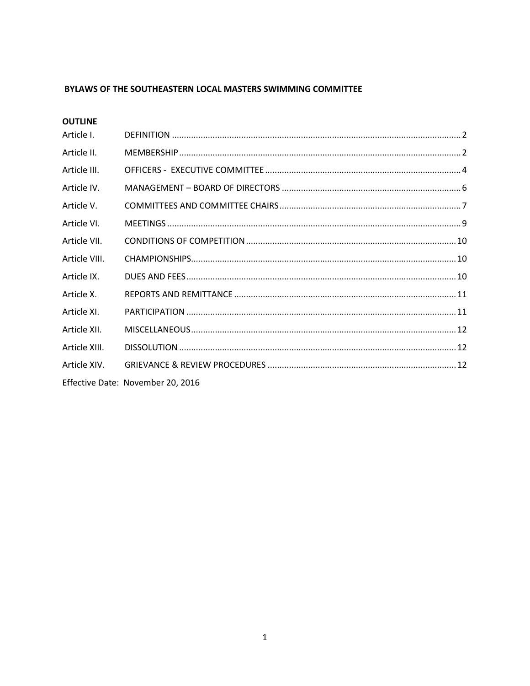## BYLAWS OF THE SOUTHEASTERN LOCAL MASTERS SWIMMING COMMITTEE

| Article I.    |                                   |  |
|---------------|-----------------------------------|--|
| Article II.   |                                   |  |
| Article III.  |                                   |  |
| Article IV.   |                                   |  |
| Article V.    |                                   |  |
| Article VI.   |                                   |  |
| Article VII.  |                                   |  |
| Article VIII. |                                   |  |
| Article IX.   |                                   |  |
| Article X.    |                                   |  |
| Article XI.   |                                   |  |
| Article XII.  |                                   |  |
| Article XIII. |                                   |  |
| Article XIV.  |                                   |  |
|               | Effective Date: November 20, 2016 |  |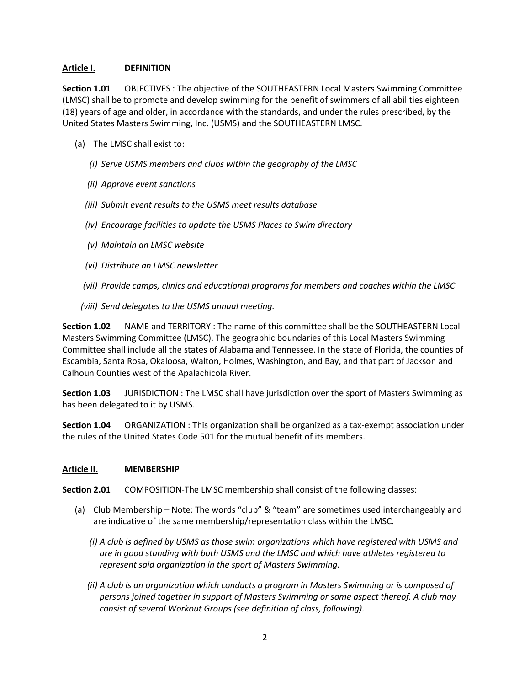## <span id="page-1-0"></span>**Article I. DEFINITION**

**Section 1.01** OBJECTIVES : The objective of the SOUTHEASTERN Local Masters Swimming Committee (LMSC) shall be to promote and develop swimming for the benefit of swimmers of all abilities eighteen (18) years of age and older, in accordance with the standards, and under the rules prescribed, by the United States Masters Swimming, Inc. (USMS) and the SOUTHEASTERN LMSC.

- (a) The LMSC shall exist to:
	- *(i) Serve USMS members and clubs within the geography of the LMSC*
	- *(ii) Approve event sanctions*
	- *(iii) Submit event results to the USMS meet results database*
	- *(iv) Encourage facilities to update the USMS Places to Swim directory*
	- *(v) Maintain an LMSC website*
	- *(vi) Distribute an LMSC newsletter*
	- *(vii) Provide camps, clinics and educational programs for members and coaches within the LMSC*
	- *(viii) Send delegates to the USMS annual meeting.*

**Section 1.02** NAME and TERRITORY : The name of this committee shall be the SOUTHEASTERN Local Masters Swimming Committee (LMSC). The geographic boundaries of this Local Masters Swimming Committee shall include all the states of Alabama and Tennessee. In the state of Florida, the counties of Escambia, Santa Rosa, Okaloosa, Walton, Holmes, Washington, and Bay, and that part of Jackson and Calhoun Counties west of the Apalachicola River.

**Section 1.03** JURISDICTION : The LMSC shall have jurisdiction over the sport of Masters Swimming as has been delegated to it by USMS.

**Section 1.04** ORGANIZATION : This organization shall be organized as a tax-exempt association under the rules of the United States Code 501 for the mutual benefit of its members.

### <span id="page-1-1"></span>**Article II. MEMBERSHIP**

**Section 2.01** COMPOSITION-The LMSC membership shall consist of the following classes:

- (a) Club Membership Note: The words "club" & "team" are sometimes used interchangeably and are indicative of the same membership/representation class within the LMSC.
	- *(i) A club is defined by USMS as those swim organizations which have registered with USMS and are in good standing with both USMS and the LMSC and which have athletes registered to represent said organization in the sport of Masters Swimming.*
	- *(ii) A club is an organization which conducts a program in Masters Swimming or is composed of persons joined together in support of Masters Swimming or some aspect thereof. A club may consist of several Workout Groups (see definition of class, following).*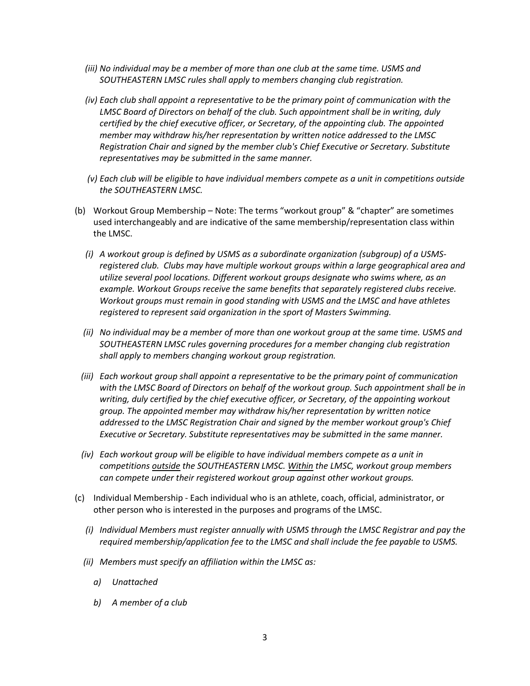- *(iii) No individual may be a member of more than one club at the same time. USMS and SOUTHEASTERN LMSC rules shall apply to members changing club registration.*
- *(iv) Each club shall appoint a representative to be the primary point of communication with the LMSC Board of Directors on behalf of the club. Such appointment shall be in writing, duly certified by the chief executive officer, or Secretary, of the appointing club. The appointed member may withdraw his/her representation by written notice addressed to the LMSC Registration Chair and signed by the member club's Chief Executive or Secretary. Substitute representatives may be submitted in the same manner.*
- *(v) Each club will be eligible to have individual members compete as a unit in competitions outside the SOUTHEASTERN LMSC.*
- (b) Workout Group Membership Note: The terms "workout group" & "chapter" are sometimes used interchangeably and are indicative of the same membership/representation class within the LMSC.
	- *(i) A workout group is defined by USMS as a subordinate organization (subgroup) of a USMSregistered club. Clubs may have multiple workout groups within a large geographical area and utilize several pool locations. Different workout groups designate who swims where, as an example. Workout Groups receive the same benefits that separately registered clubs receive. Workout groups must remain in good standing with USMS and the LMSC and have athletes registered to represent said organization in the sport of Masters Swimming.*
	- *(ii) No individual may be a member of more than one workout group at the same time. USMS and SOUTHEASTERN LMSC rules governing procedures for a member changing club registration shall apply to members changing workout group registration.*
	- *(iii) Each workout group shall appoint a representative to be the primary point of communication with the LMSC Board of Directors on behalf of the workout group. Such appointment shall be in writing, duly certified by the chief executive officer, or Secretary, of the appointing workout group. The appointed member may withdraw his/her representation by written notice addressed to the LMSC Registration Chair and signed by the member workout group's Chief Executive or Secretary. Substitute representatives may be submitted in the same manner.*
	- *(iv) Each workout group will be eligible to have individual members compete as a unit in competitions outside the SOUTHEASTERN LMSC. Within the LMSC, workout group members can compete under their registered workout group against other workout groups.*
- (c) Individual Membership Each individual who is an athlete, coach, official, administrator, or other person who is interested in the purposes and programs of the LMSC.
	- *(i) Individual Members must register annually with USMS through the LMSC Registrar and pay the required membership/application fee to the LMSC and shall include the fee payable to USMS.*
	- *(ii) Members must specify an affiliation within the LMSC as:*
		- *a) Unattached*
		- *b) A member of a club*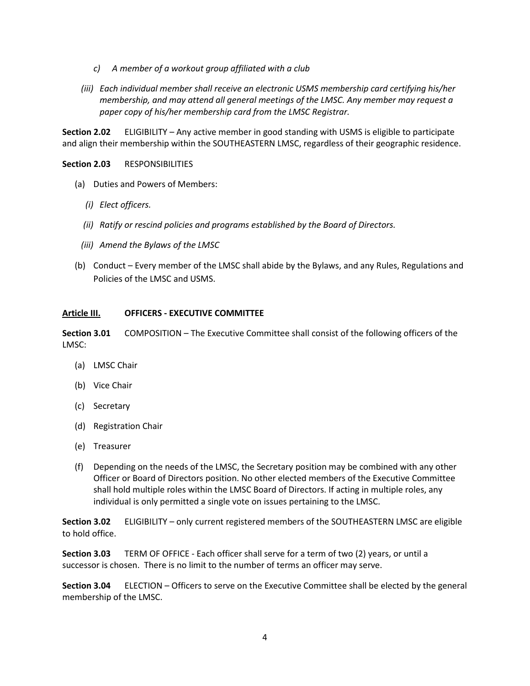- *c) A member of a workout group affiliated with a club*
- *(iii) Each individual member shall receive an electronic USMS membership card certifying his/her membership, and may attend all general meetings of the LMSC. Any member may request a paper copy of his/her membership card from the LMSC Registrar.*

**Section 2.02** ELIGIBILITY – Any active member in good standing with USMS is eligible to participate and align their membership within the SOUTHEASTERN LMSC, regardless of their geographic residence.

## **Section 2.03** RESPONSIBILITIES

- (a) Duties and Powers of Members:
	- *(i) Elect officers.*
	- *(ii) Ratify or rescind policies and programs established by the Board of Directors.*
	- *(iii) Amend the Bylaws of the LMSC*
- (b) Conduct Every member of the LMSC shall abide by the Bylaws, and any Rules, Regulations and Policies of the LMSC and USMS.

### <span id="page-3-0"></span>**Article III. OFFICERS - EXECUTIVE COMMITTEE**

**Section 3.01** COMPOSITION – The Executive Committee shall consist of the following officers of the LMSC:

- (a) LMSC Chair
- (b) Vice Chair
- (c) Secretary
- (d) Registration Chair
- (e) Treasurer
- (f) Depending on the needs of the LMSC, the Secretary position may be combined with any other Officer or Board of Directors position. No other elected members of the Executive Committee shall hold multiple roles within the LMSC Board of Directors. If acting in multiple roles, any individual is only permitted a single vote on issues pertaining to the LMSC.

**Section 3.02** ELIGIBILITY – only current registered members of the SOUTHEASTERN LMSC are eligible to hold office.

**Section 3.03** TERM OF OFFICE - Each officer shall serve for a term of two (2) years, or until a successor is chosen. There is no limit to the number of terms an officer may serve.

**Section 3.04** ELECTION – Officers to serve on the Executive Committee shall be elected by the general membership of the LMSC.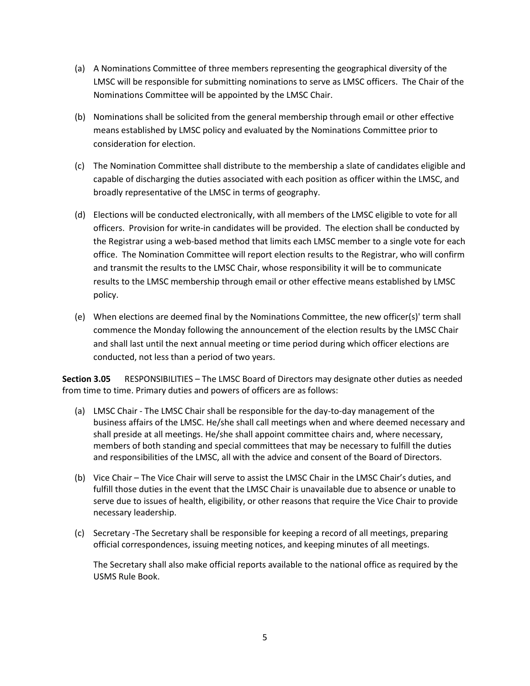- (a) A Nominations Committee of three members representing the geographical diversity of the LMSC will be responsible for submitting nominations to serve as LMSC officers. The Chair of the Nominations Committee will be appointed by the LMSC Chair.
- (b) Nominations shall be solicited from the general membership through email or other effective means established by LMSC policy and evaluated by the Nominations Committee prior to consideration for election.
- (c) The Nomination Committee shall distribute to the membership a slate of candidates eligible and capable of discharging the duties associated with each position as officer within the LMSC, and broadly representative of the LMSC in terms of geography.
- (d) Elections will be conducted electronically, with all members of the LMSC eligible to vote for all officers. Provision for write-in candidates will be provided. The election shall be conducted by the Registrar using a web-based method that limits each LMSC member to a single vote for each office. The Nomination Committee will report election results to the Registrar, who will confirm and transmit the results to the LMSC Chair, whose responsibility it will be to communicate results to the LMSC membership through email or other effective means established by LMSC policy.
- (e) When elections are deemed final by the Nominations Committee, the new officer(s)' term shall commence the Monday following the announcement of the election results by the LMSC Chair and shall last until the next annual meeting or time period during which officer elections are conducted, not less than a period of two years.

**Section 3.05** RESPONSIBILITIES – The LMSC Board of Directors may designate other duties as needed from time to time. Primary duties and powers of officers are as follows:

- (a) LMSC Chair The LMSC Chair shall be responsible for the day-to-day management of the business affairs of the LMSC. He/she shall call meetings when and where deemed necessary and shall preside at all meetings. He/she shall appoint committee chairs and, where necessary, members of both standing and special committees that may be necessary to fulfill the duties and responsibilities of the LMSC, all with the advice and consent of the Board of Directors.
- (b) Vice Chair The Vice Chair will serve to assist the LMSC Chair in the LMSC Chair's duties, and fulfill those duties in the event that the LMSC Chair is unavailable due to absence or unable to serve due to issues of health, eligibility, or other reasons that require the Vice Chair to provide necessary leadership.
- (c) Secretary -The Secretary shall be responsible for keeping a record of all meetings, preparing official correspondences, issuing meeting notices, and keeping minutes of all meetings.

The Secretary shall also make official reports available to the national office as required by the USMS Rule Book.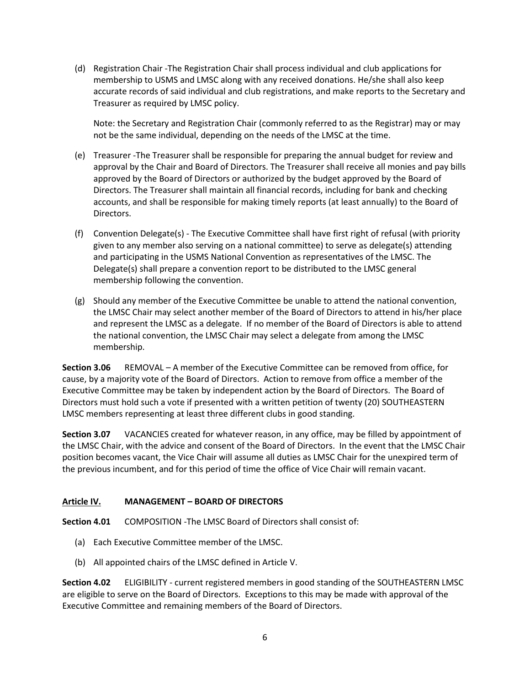(d) Registration Chair -The Registration Chair shall process individual and club applications for membership to USMS and LMSC along with any received donations. He/she shall also keep accurate records of said individual and club registrations, and make reports to the Secretary and Treasurer as required by LMSC policy.

Note: the Secretary and Registration Chair (commonly referred to as the Registrar) may or may not be the same individual, depending on the needs of the LMSC at the time.

- (e) Treasurer -The Treasurer shall be responsible for preparing the annual budget for review and approval by the Chair and Board of Directors. The Treasurer shall receive all monies and pay bills approved by the Board of Directors or authorized by the budget approved by the Board of Directors. The Treasurer shall maintain all financial records, including for bank and checking accounts, and shall be responsible for making timely reports (at least annually) to the Board of Directors.
- (f) Convention Delegate(s) The Executive Committee shall have first right of refusal (with priority given to any member also serving on a national committee) to serve as delegate(s) attending and participating in the USMS National Convention as representatives of the LMSC. The Delegate(s) shall prepare a convention report to be distributed to the LMSC general membership following the convention.
- (g) Should any member of the Executive Committee be unable to attend the national convention, the LMSC Chair may select another member of the Board of Directors to attend in his/her place and represent the LMSC as a delegate. If no member of the Board of Directors is able to attend the national convention, the LMSC Chair may select a delegate from among the LMSC membership.

**Section 3.06** REMOVAL – A member of the Executive Committee can be removed from office, for cause, by a majority vote of the Board of Directors. Action to remove from office a member of the Executive Committee may be taken by independent action by the Board of Directors. The Board of Directors must hold such a vote if presented with a written petition of twenty (20) SOUTHEASTERN LMSC members representing at least three different clubs in good standing.

**Section 3.07** VACANCIES created for whatever reason, in any office, may be filled by appointment of the LMSC Chair, with the advice and consent of the Board of Directors. In the event that the LMSC Chair position becomes vacant, the Vice Chair will assume all duties as LMSC Chair for the unexpired term of the previous incumbent, and for this period of time the office of Vice Chair will remain vacant.

# <span id="page-5-0"></span>**Article IV. MANAGEMENT – BOARD OF DIRECTORS**

**Section 4.01** COMPOSITION -The LMSC Board of Directors shall consist of:

- (a) Each Executive Committee member of the LMSC.
- (b) All appointed chairs of the LMSC defined in Article V.

**Section 4.02** ELIGIBILITY - current registered members in good standing of the SOUTHEASTERN LMSC are eligible to serve on the Board of Directors. Exceptions to this may be made with approval of the Executive Committee and remaining members of the Board of Directors.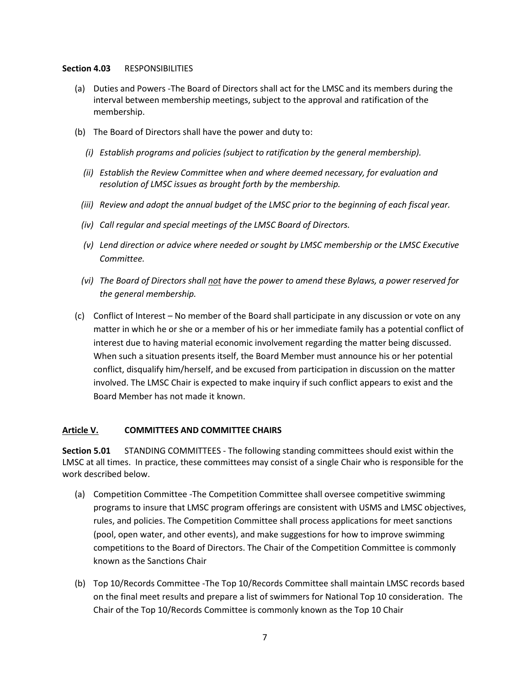#### **Section 4.03** RESPONSIBILITIES

- (a) Duties and Powers -The Board of Directors shall act for the LMSC and its members during the interval between membership meetings, subject to the approval and ratification of the membership.
- (b) The Board of Directors shall have the power and duty to:
	- *(i) Establish programs and policies (subject to ratification by the general membership).*
	- *(ii) Establish the Review Committee when and where deemed necessary, for evaluation and resolution of LMSC issues as brought forth by the membership.*
	- *(iii) Review and adopt the annual budget of the LMSC prior to the beginning of each fiscal year.*
	- *(iv) Call regular and special meetings of the LMSC Board of Directors.*
	- *(v) Lend direction or advice where needed or sought by LMSC membership or the LMSC Executive Committee.*
	- *(vi) The Board of Directors shall not have the power to amend these Bylaws, a power reserved for the general membership.*
- (c) Conflict of Interest No member of the Board shall participate in any discussion or vote on any matter in which he or she or a member of his or her immediate family has a potential conflict of interest due to having material economic involvement regarding the matter being discussed. When such a situation presents itself, the Board Member must announce his or her potential conflict, disqualify him/herself, and be excused from participation in discussion on the matter involved. The LMSC Chair is expected to make inquiry if such conflict appears to exist and the Board Member has not made it known.

### <span id="page-6-0"></span>**Article V. COMMITTEES AND COMMITTEE CHAIRS**

**Section 5.01** STANDING COMMITTEES - The following standing committees should exist within the LMSC at all times. In practice, these committees may consist of a single Chair who is responsible for the work described below.

- (a) Competition Committee -The Competition Committee shall oversee competitive swimming programs to insure that LMSC program offerings are consistent with USMS and LMSC objectives, rules, and policies. The Competition Committee shall process applications for meet sanctions (pool, open water, and other events), and make suggestions for how to improve swimming competitions to the Board of Directors. The Chair of the Competition Committee is commonly known as the Sanctions Chair
- (b) Top 10/Records Committee -The Top 10/Records Committee shall maintain LMSC records based on the final meet results and prepare a list of swimmers for National Top 10 consideration. The Chair of the Top 10/Records Committee is commonly known as the Top 10 Chair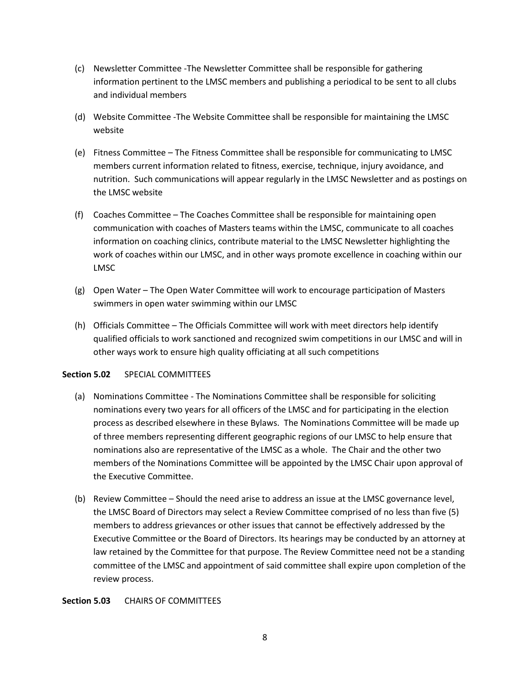- (c) Newsletter Committee -The Newsletter Committee shall be responsible for gathering information pertinent to the LMSC members and publishing a periodical to be sent to all clubs and individual members
- (d) Website Committee -The Website Committee shall be responsible for maintaining the LMSC website
- (e) Fitness Committee The Fitness Committee shall be responsible for communicating to LMSC members current information related to fitness, exercise, technique, injury avoidance, and nutrition. Such communications will appear regularly in the LMSC Newsletter and as postings on the LMSC website
- (f) Coaches Committee The Coaches Committee shall be responsible for maintaining open communication with coaches of Masters teams within the LMSC, communicate to all coaches information on coaching clinics, contribute material to the LMSC Newsletter highlighting the work of coaches within our LMSC, and in other ways promote excellence in coaching within our LMSC
- (g) Open Water The Open Water Committee will work to encourage participation of Masters swimmers in open water swimming within our LMSC
- (h) Officials Committee The Officials Committee will work with meet directors help identify qualified officials to work sanctioned and recognized swim competitions in our LMSC and will in other ways work to ensure high quality officiating at all such competitions

### **Section 5.02** SPECIAL COMMITTEES

- (a) Nominations Committee The Nominations Committee shall be responsible for soliciting nominations every two years for all officers of the LMSC and for participating in the election process as described elsewhere in these Bylaws. The Nominations Committee will be made up of three members representing different geographic regions of our LMSC to help ensure that nominations also are representative of the LMSC as a whole. The Chair and the other two members of the Nominations Committee will be appointed by the LMSC Chair upon approval of the Executive Committee.
- (b) Review Committee Should the need arise to address an issue at the LMSC governance level, the LMSC Board of Directors may select a Review Committee comprised of no less than five (5) members to address grievances or other issues that cannot be effectively addressed by the Executive Committee or the Board of Directors. Its hearings may be conducted by an attorney at law retained by the Committee for that purpose. The Review Committee need not be a standing committee of the LMSC and appointment of said committee shall expire upon completion of the review process.

### **Section 5.03** CHAIRS OF COMMITTEES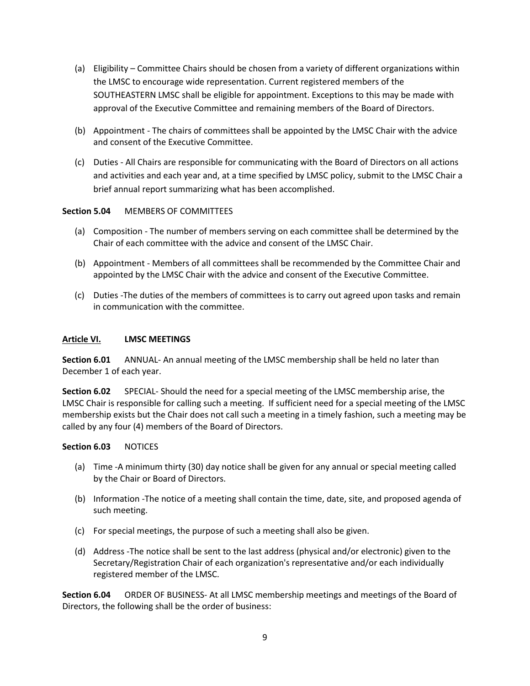- (a) Eligibility Committee Chairs should be chosen from a variety of different organizations within the LMSC to encourage wide representation. Current registered members of the SOUTHEASTERN LMSC shall be eligible for appointment. Exceptions to this may be made with approval of the Executive Committee and remaining members of the Board of Directors.
- (b) Appointment The chairs of committees shall be appointed by the LMSC Chair with the advice and consent of the Executive Committee.
- (c) Duties All Chairs are responsible for communicating with the Board of Directors on all actions and activities and each year and, at a time specified by LMSC policy, submit to the LMSC Chair a brief annual report summarizing what has been accomplished.

## **Section 5.04** MEMBERS OF COMMITTEES

- (a) Composition The number of members serving on each committee shall be determined by the Chair of each committee with the advice and consent of the LMSC Chair.
- (b) Appointment Members of all committees shall be recommended by the Committee Chair and appointed by the LMSC Chair with the advice and consent of the Executive Committee.
- (c) Duties -The duties of the members of committees is to carry out agreed upon tasks and remain in communication with the committee.

#### <span id="page-8-0"></span>**Article VI. LMSC MEETINGS**

**Section 6.01** ANNUAL- An annual meeting of the LMSC membership shall be held no later than December 1 of each year.

**Section 6.02** SPECIAL- Should the need for a special meeting of the LMSC membership arise, the LMSC Chair is responsible for calling such a meeting. If sufficient need for a special meeting of the LMSC membership exists but the Chair does not call such a meeting in a timely fashion, such a meeting may be called by any four (4) members of the Board of Directors.

### **Section 6.03** NOTICES

- (a) Time -A minimum thirty (30) day notice shall be given for any annual or special meeting called by the Chair or Board of Directors.
- (b) Information -The notice of a meeting shall contain the time, date, site, and proposed agenda of such meeting.
- (c) For special meetings, the purpose of such a meeting shall also be given.
- (d) Address -The notice shall be sent to the last address (physical and/or electronic) given to the Secretary/Registration Chair of each organization's representative and/or each individually registered member of the LMSC.

**Section 6.04** ORDER OF BUSINESS- At all LMSC membership meetings and meetings of the Board of Directors, the following shall be the order of business: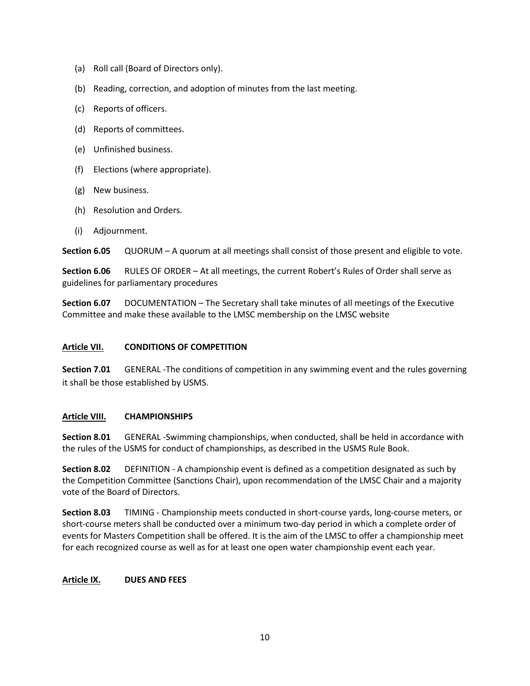- (a) Roll call (Board of Directors only).
- (b) Reading, correction, and adoption of minutes from the last meeting.
- (c) Reports of officers.
- (d) Reports of committees.
- (e) Unfinished business.
- (f) Elections (where appropriate).
- (g) New business.
- (h) Resolution and Orders.
- (i) Adjournment.

**Section 6.05** QUORUM – A quorum at all meetings shall consist of those present and eligible to vote.

**Section 6.06** RULES OF ORDER – At all meetings, the current Robert's Rules of Order shall serve as guidelines for parliamentary procedures

**Section 6.07** DOCUMENTATION – The Secretary shall take minutes of all meetings of the Executive Committee and make these available to the LMSC membership on the LMSC website

### <span id="page-9-0"></span>**Article VII. CONDITIONS OF COMPETITION**

**Section 7.01** GENERAL -The conditions of competition in any swimming event and the rules governing it shall be those established by USMS.

### <span id="page-9-1"></span>**Article VIII. CHAMPIONSHIPS**

**Section 8.01** GENERAL -Swimming championships, when conducted, shall be held in accordance with the rules of the USMS for conduct of championships, as described in the USMS Rule Book.

**Section 8.02** DEFINITION - A championship event is defined as a competition designated as such by the Competition Committee (Sanctions Chair), upon recommendation of the LMSC Chair and a majority vote of the Board of Directors.

**Section 8.03** TIMING - Championship meets conducted in short-course yards, long-course meters, or short-course meters shall be conducted over a minimum two-day period in which a complete order of events for Masters Competition shall be offered. It is the aim of the LMSC to offer a championship meet for each recognized course as well as for at least one open water championship event each year.

### <span id="page-9-2"></span>**Article IX. DUES AND FEES**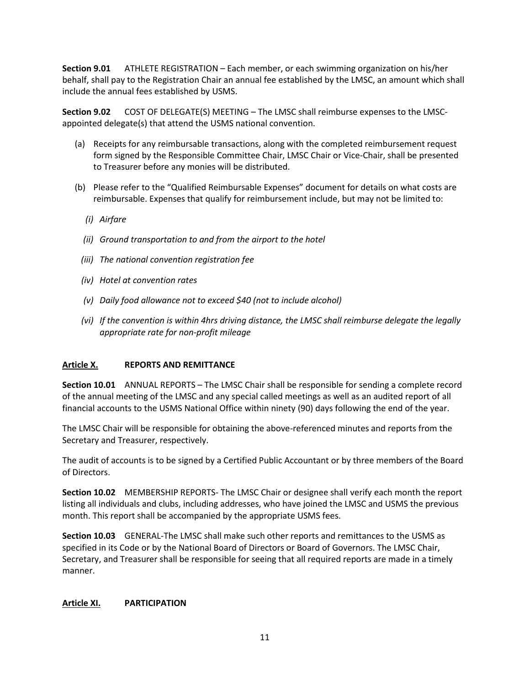**Section 9.01** ATHLETE REGISTRATION – Each member, or each swimming organization on his/her behalf, shall pay to the Registration Chair an annual fee established by the LMSC, an amount which shall include the annual fees established by USMS.

**Section 9.02** COST OF DELEGATE(S) MEETING – The LMSC shall reimburse expenses to the LMSCappointed delegate(s) that attend the USMS national convention.

- (a) Receipts for any reimbursable transactions, along with the completed reimbursement request form signed by the Responsible Committee Chair, LMSC Chair or Vice-Chair, shall be presented to Treasurer before any monies will be distributed.
- (b) Please refer to the "Qualified Reimbursable Expenses" document for details on what costs are reimbursable. Expenses that qualify for reimbursement include, but may not be limited to:
	- *(i) Airfare*
	- *(ii) Ground transportation to and from the airport to the hotel*
	- *(iii) The national convention registration fee*
	- *(iv) Hotel at convention rates*
	- *(v) Daily food allowance not to exceed \$40 (not to include alcohol)*
	- *(vi) If the convention is within 4hrs driving distance, the LMSC shall reimburse delegate the legally appropriate rate for non-profit mileage*

### <span id="page-10-0"></span>**Article X. REPORTS AND REMITTANCE**

**Section 10.01** ANNUAL REPORTS – The LMSC Chair shall be responsible for sending a complete record of the annual meeting of the LMSC and any special called meetings as well as an audited report of all financial accounts to the USMS National Office within ninety (90) days following the end of the year.

The LMSC Chair will be responsible for obtaining the above-referenced minutes and reports from the Secretary and Treasurer, respectively.

The audit of accounts is to be signed by a Certified Public Accountant or by three members of the Board of Directors.

**Section 10.02** MEMBERSHIP REPORTS- The LMSC Chair or designee shall verify each month the report listing all individuals and clubs, including addresses, who have joined the LMSC and USMS the previous month. This report shall be accompanied by the appropriate USMS fees.

**Section 10.03** GENERAL-The LMSC shall make such other reports and remittances to the USMS as specified in its Code or by the National Board of Directors or Board of Governors. The LMSC Chair, Secretary, and Treasurer shall be responsible for seeing that all required reports are made in a timely manner.

### <span id="page-10-1"></span>**Article XI. PARTICIPATION**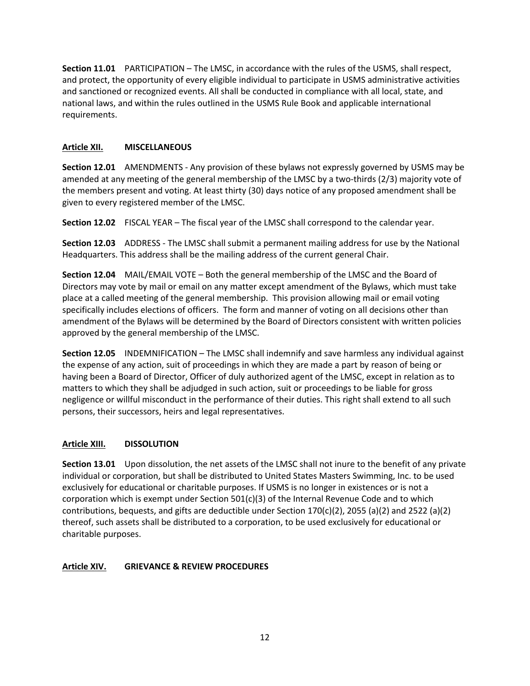**Section 11.01** PARTICIPATION – The LMSC, in accordance with the rules of the USMS, shall respect, and protect, the opportunity of every eligible individual to participate in USMS administrative activities and sanctioned or recognized events. All shall be conducted in compliance with all local, state, and national laws, and within the rules outlined in the USMS Rule Book and applicable international requirements.

# <span id="page-11-0"></span>**Article XII. MISCELLANEOUS**

**Section 12.01** AMENDMENTS - Any provision of these bylaws not expressly governed by USMS may be amended at any meeting of the general membership of the LMSC by a two-thirds (2/3) majority vote of the members present and voting. At least thirty (30) days notice of any proposed amendment shall be given to every registered member of the LMSC.

**Section 12.02** FISCAL YEAR – The fiscal year of the LMSC shall correspond to the calendar year.

**Section 12.03** ADDRESS - The LMSC shall submit a permanent mailing address for use by the National Headquarters. This address shall be the mailing address of the current general Chair.

**Section 12.04** MAIL/EMAIL VOTE – Both the general membership of the LMSC and the Board of Directors may vote by mail or email on any matter except amendment of the Bylaws, which must take place at a called meeting of the general membership. This provision allowing mail or email voting specifically includes elections of officers. The form and manner of voting on all decisions other than amendment of the Bylaws will be determined by the Board of Directors consistent with written policies approved by the general membership of the LMSC.

**Section 12.05** INDEMNIFICATION – The LMSC shall indemnify and save harmless any individual against the expense of any action, suit of proceedings in which they are made a part by reason of being or having been a Board of Director, Officer of duly authorized agent of the LMSC, except in relation as to matters to which they shall be adjudged in such action, suit or proceedings to be liable for gross negligence or willful misconduct in the performance of their duties. This right shall extend to all such persons, their successors, heirs and legal representatives.

### <span id="page-11-1"></span>**Article XIII. DISSOLUTION**

**Section 13.01** Upon dissolution, the net assets of the LMSC shall not inure to the benefit of any private individual or corporation, but shall be distributed to United States Masters Swimming, Inc. to be used exclusively for educational or charitable purposes. If USMS is no longer in existences or is not a corporation which is exempt under Section 501(c)(3) of the Internal Revenue Code and to which contributions, bequests, and gifts are deductible under Section 170(c)(2), 2055 (a)(2) and 2522 (a)(2) thereof, such assets shall be distributed to a corporation, to be used exclusively for educational or charitable purposes.

# <span id="page-11-2"></span>**Article XIV. GRIEVANCE & REVIEW PROCEDURES**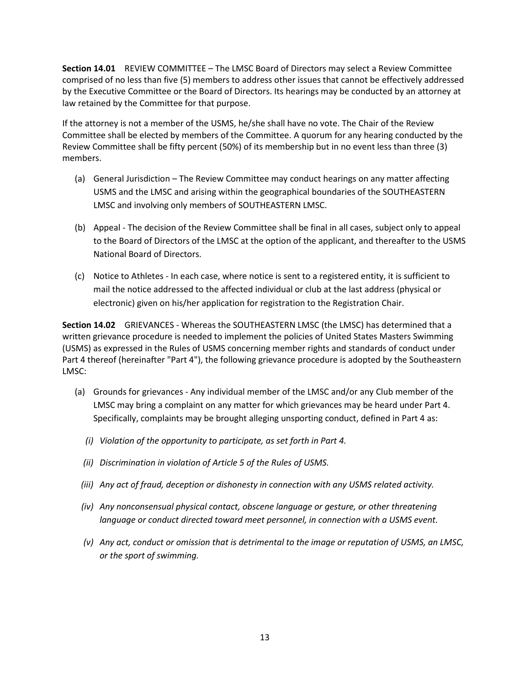**Section 14.01** REVIEW COMMITTEE – The LMSC Board of Directors may select a Review Committee comprised of no less than five (5) members to address other issues that cannot be effectively addressed by the Executive Committee or the Board of Directors. Its hearings may be conducted by an attorney at law retained by the Committee for that purpose.

If the attorney is not a member of the USMS, he/she shall have no vote. The Chair of the Review Committee shall be elected by members of the Committee. A quorum for any hearing conducted by the Review Committee shall be fifty percent (50%) of its membership but in no event less than three (3) members.

- (a) General Jurisdiction The Review Committee may conduct hearings on any matter affecting USMS and the LMSC and arising within the geographical boundaries of the SOUTHEASTERN LMSC and involving only members of SOUTHEASTERN LMSC.
- (b) Appeal The decision of the Review Committee shall be final in all cases, subject only to appeal to the Board of Directors of the LMSC at the option of the applicant, and thereafter to the USMS National Board of Directors.
- (c) Notice to Athletes In each case, where notice is sent to a registered entity, it is sufficient to mail the notice addressed to the affected individual or club at the last address (physical or electronic) given on his/her application for registration to the Registration Chair.

**Section 14.02** GRIEVANCES - Whereas the SOUTHEASTERN LMSC (the LMSC) has determined that a written grievance procedure is needed to implement the policies of United States Masters Swimming (USMS) as expressed in the Rules of USMS concerning member rights and standards of conduct under Part 4 thereof (hereinafter "Part 4"), the following grievance procedure is adopted by the Southeastern LMSC:

- (a) Grounds for grievances Any individual member of the LMSC and/or any Club member of the LMSC may bring a complaint on any matter for which grievances may be heard under Part 4. Specifically, complaints may be brought alleging unsporting conduct, defined in Part 4 as:
	- *(i) Violation of the opportunity to participate, as set forth in Part 4.*
	- *(ii) Discrimination in violation of Article 5 of the Rules of USMS.*
	- *(iii) Any act of fraud, deception or dishonesty in connection with any USMS related activity.*
	- *(iv) Any nonconsensual physical contact, obscene language or gesture, or other threatening language or conduct directed toward meet personnel, in connection with a USMS event.*
	- *(v) Any act, conduct or omission that is detrimental to the image or reputation of USMS, an LMSC, or the sport of swimming.*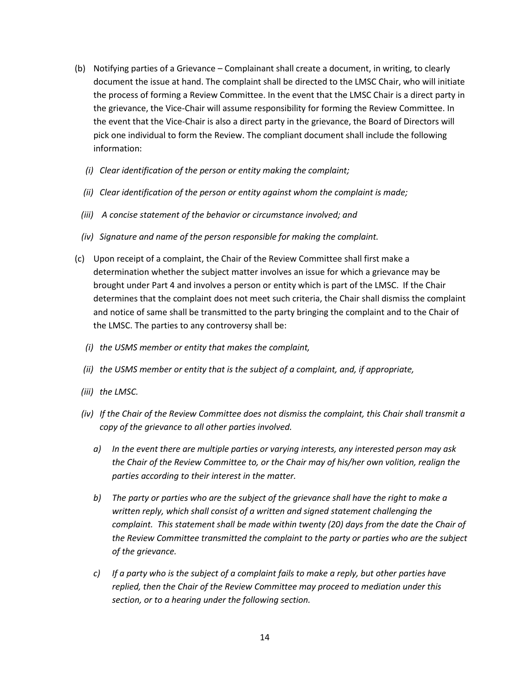- (b) Notifying parties of a Grievance Complainant shall create a document, in writing, to clearly document the issue at hand. The complaint shall be directed to the LMSC Chair, who will initiate the process of forming a Review Committee. In the event that the LMSC Chair is a direct party in the grievance, the Vice-Chair will assume responsibility for forming the Review Committee. In the event that the Vice-Chair is also a direct party in the grievance, the Board of Directors will pick one individual to form the Review. The compliant document shall include the following information:
	- *(i) Clear identification of the person or entity making the complaint;*
	- *(ii) Clear identification of the person or entity against whom the complaint is made;*
	- *(iii) A concise statement of the behavior or circumstance involved; and*
	- *(iv) Signature and name of the person responsible for making the complaint.*
- (c) Upon receipt of a complaint, the Chair of the Review Committee shall first make a determination whether the subject matter involves an issue for which a grievance may be brought under Part 4 and involves a person or entity which is part of the LMSC. If the Chair determines that the complaint does not meet such criteria, the Chair shall dismiss the complaint and notice of same shall be transmitted to the party bringing the complaint and to the Chair of the LMSC. The parties to any controversy shall be:
	- *(i) the USMS member or entity that makes the complaint,*
	- *(ii) the USMS member or entity that is the subject of a complaint, and, if appropriate,*
	- *(iii) the LMSC.*
	- *(iv) If the Chair of the Review Committee does not dismiss the complaint, this Chair shall transmit a copy of the grievance to all other parties involved.* 
		- *a) In the event there are multiple parties or varying interests, any interested person may ask the Chair of the Review Committee to, or the Chair may of his/her own volition, realign the parties according to their interest in the matter.*
		- *b) The party or parties who are the subject of the grievance shall have the right to make a written reply, which shall consist of a written and signed statement challenging the complaint. This statement shall be made within twenty (20) days from the date the Chair of the Review Committee transmitted the complaint to the party or parties who are the subject of the grievance.*
		- *c) If a party who is the subject of a complaint fails to make a reply, but other parties have replied, then the Chair of the Review Committee may proceed to mediation under this section, or to a hearing under the following section.*